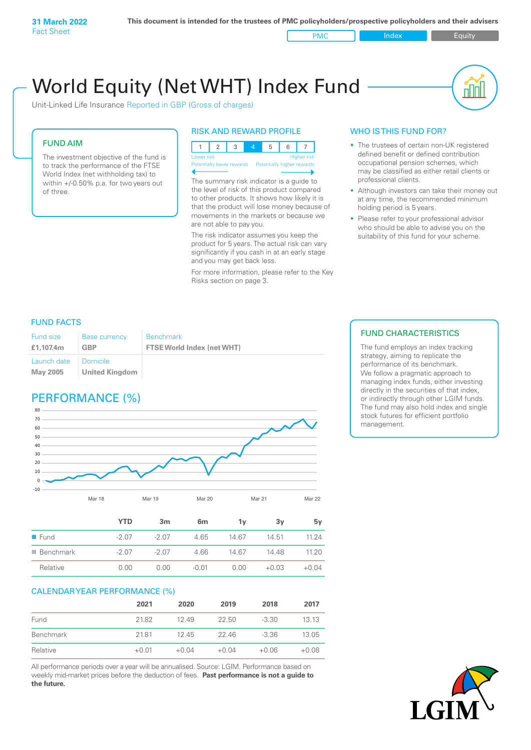PMC Index Index Equity

пIП

# World Equity (Net WHT) Index Fund

Unit-Linked Life Insurance Reported in GBP (Gross of charges)

#### FUND AIM

The investment objective of the fund is to track the performance of the FTSE World Index (net withholding tax) to within +/-0.50% p.a. for two years out of three.

#### RISK AND REWARD PROFILE

123 4 5 6 7 Lower risk and the contract of the Higher risk Potentially lower rewards Potentially higher rewards

The summary risk indicator is a guide to the level of risk of this product compared to other products. It shows how likely it is that the product will lose money because of movements in the markets or because we are not able to pay you.

The risk indicator assumes you keep the product for 5 years. The actual risk can vary significantly if you cash in at an early stage and you may get back less.

For more information, please refer to the Key Risks section on page 3.

#### WHO IS THIS FUND FOR?

- The trustees of certain non-UK registered defined benefit or defined contribution occupational pension schemes, which may be classified as either retail clients or professional clients.
- Although investors can take their money out at any time, the recommended minimum holding period is 5 years.
- Please refer to your professional advisor who should be able to advise you on the suitability of this fund for your scheme.

#### FUND FACTS

| <b>Fund size</b><br>£1.107.4m | <b>Base currency</b><br>GBP | <b>Benchmark</b><br><b>FTSE World Index (net WHT)</b> |
|-------------------------------|-----------------------------|-------------------------------------------------------|
| Launch date   Domicile        |                             |                                                       |
| May 2005                      | United Kingdom              |                                                       |

# PERFORMANCE (%)



|                          | YTD     | 3m     | 6 <sub>m</sub> | ٦v    | 3v      | 5۷      |
|--------------------------|---------|--------|----------------|-------|---------|---------|
| $\blacksquare$ Fund      | $-2.07$ | $-207$ | 4.65           | 14.67 | 14.51   | 11 24   |
| $\blacksquare$ Benchmark | -2.07   | $-207$ | 4.66           | 14.67 | 14.48   | 11.20   |
| Relative                 | 0.00    | 0.00   | $-0.01$        | 0.00  | $+0.03$ | $+0.04$ |

#### CALENDAR YEAR PERFORMANCE (%)

|           | 2021    | 2020    | 2019    | 2018    | 2017    |
|-----------|---------|---------|---------|---------|---------|
| Fund      | 21.82   | 12.49   | 22.50   | $-3.30$ | 13.13   |
| Benchmark | 2181    | 1245    | 22.46   | $-3.36$ | 13.05   |
| Relative  | $+0.01$ | $+0.04$ | $+0.04$ | $+0.06$ | $+0.08$ |

All performance periods over a year will be annualised. Source: LGIM. Performance based on weekly mid-market prices before the deduction of fees. **Past performance is not a guide to the future.**

#### FUND CHARACTERISTICS

The fund employs an index tracking strategy, aiming to replicate the performance of its benchmark. We follow a pragmatic approach to managing index funds, either investing directly in the securities of that index, or indirectly through other LGIM funds. The fund may also hold index and single stock futures for efficient portfolio management.

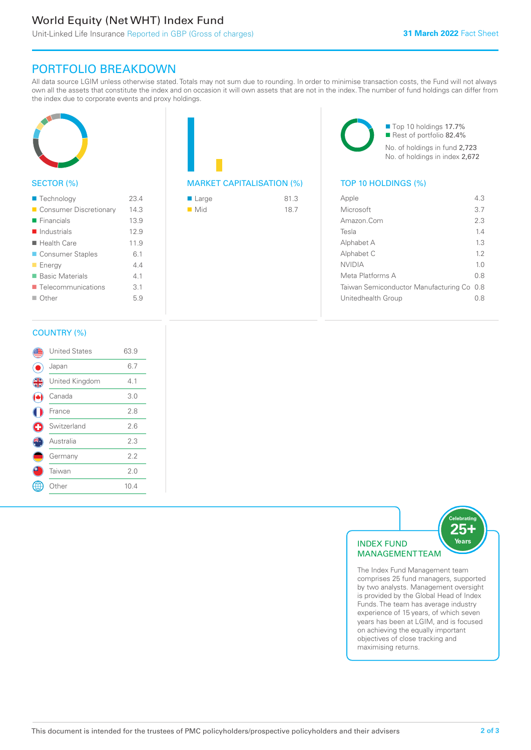# World Equity (Net WHT) Index Fund

## PORTFOLIO BREAKDOWN

All data source LGIM unless otherwise stated. Totals may not sum due to rounding. In order to minimise transaction costs, the Fund will not always own all the assets that constitute the index and on occasion it will own assets that are not in the index. The number of fund holdings can differ from the index due to corporate events and proxy holdings.



#### SECTOR (%)

| ■ Technology                      | 23.4 |
|-----------------------------------|------|
| Consumer Discretionary            | 14.3 |
| $\blacksquare$ Financials         | 13.9 |
| $\blacksquare$ Industrials        | 12.9 |
| ■ Health Care                     | 11.9 |
| ■ Consumer Staples                | 6.1  |
| <b>Energy</b>                     | 44   |
| ■ Basic Materials                 | 4.1  |
| $\blacksquare$ Telecommunications | 3.1  |
| $\blacksquare$ Other              | 5.9  |
|                                   |      |

# MARKET CAPITALISATION (%) TOP 10 HOLDINGS (%)

| ■ Large            | 81.3 |
|--------------------|------|
| $\blacksquare$ Mid | 18.7 |

■ Top 10 holdings 17.7% Rest of portfolio 82.4% No. of holdings in fund 2,723 No. of holdings in index 2,672

| Apple                                     | 43             |
|-------------------------------------------|----------------|
| Microsoft                                 | 3.7            |
| Amazon.Com                                | 2.3            |
| Tesla                                     | 14             |
| Alphabet A                                | 13             |
| Alphabet C                                | 12             |
| <b>NVIDIA</b>                             | 1 <sub>0</sub> |
| Meta Platforms A                          | 0 S            |
| Taiwan Semiconductor Manufacturing Co 0.8 |                |
| Unitedhealth Group                        | 0.8            |
|                                           |                |

#### COUNTRY (%)

|               | <b>United States</b> | 63.9 |  |
|---------------|----------------------|------|--|
|               | Japan                | 6.7  |  |
| $\frac{4}{3}$ | United Kingdom       | 4.1  |  |
|               | Canada               | 3.0  |  |
|               | France               | 2.8  |  |
| Œ             | Switzerland          | 2.6  |  |
|               | Australia            | 2.3  |  |
|               | Germany              | 2.2  |  |
|               | Taiwan               | 2.0  |  |
|               | Other                | 10.4 |  |
|               |                      |      |  |



The Index Fund Management team comprises 25 fund managers, supported by two analysts. Management oversight is provided by the Global Head of Index Funds. The team has average industry experience of 15 years, of which seven years has been at LGIM, and is focused on achieving the equally important objectives of close tracking and maximising returns.